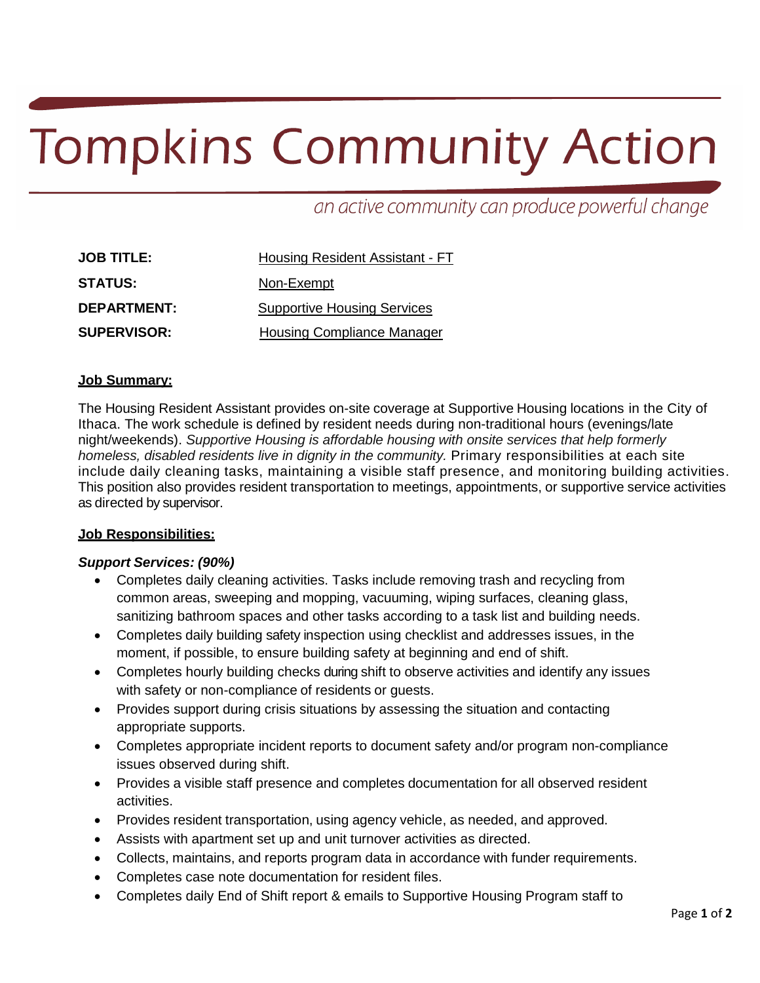# **Tompkins Community Action**

an active community can produce powerful change

| <b>JOB TITLE:</b>  | <b>Housing Resident Assistant - FT</b> |  |
|--------------------|----------------------------------------|--|
| <b>STATUS:</b>     | Non-Exempt                             |  |
| <b>DEPARTMENT:</b> | <b>Supportive Housing Services</b>     |  |
| <b>SUPERVISOR:</b> | <b>Housing Compliance Manager</b>      |  |

# **Job Summary:**

The Housing Resident Assistant provides on-site coverage at Supportive Housing locations in the City of Ithaca. The work schedule is defined by resident needs during non-traditional hours (evenings/late night/weekends). *Supportive Housing is affordable housing with onsite services that help formerly homeless, disabled residents live in dignity in the community.* Primary responsibilities at each site include daily cleaning tasks, maintaining a visible staff presence, and monitoring building activities. This position also provides resident transportation to meetings, appointments, or supportive service activities as directed by supervisor.

#### **Job Responsibilities:**

#### *Support Services: (90%)*

- Completes daily cleaning activities. Tasks include removing trash and recycling from common areas, sweeping and mopping, vacuuming, wiping surfaces, cleaning glass, sanitizing bathroom spaces and other tasks according to a task list and building needs.
- Completes daily building safety inspection using checklist and addresses issues, in the moment, if possible, to ensure building safety at beginning and end of shift.
- Completes hourly building checks during shift to observe activities and identify any issues with safety or non-compliance of residents or guests.
- Provides support during crisis situations by assessing the situation and contacting appropriate supports.
- Completes appropriate incident reports to document safety and/or program non-compliance issues observed during shift.
- Provides a visible staff presence and completes documentation for all observed resident activities.
- Provides resident transportation, using agency vehicle, as needed, and approved.
- Assists with apartment set up and unit turnover activities as directed.
- Collects, maintains, and reports program data in accordance with funder requirements.
- Completes case note documentation for resident files.
- Completes daily End of Shift report & emails to Supportive Housing Program staff to